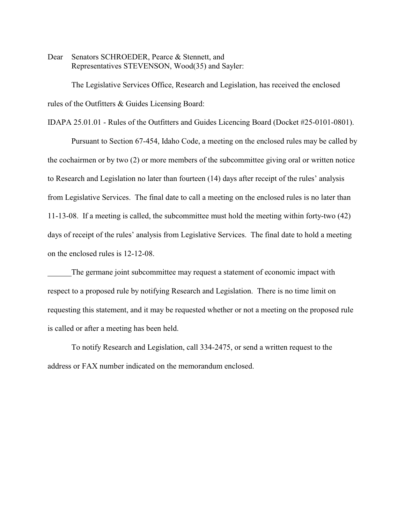Dear Senators SCHROEDER, Pearce & Stennett, and Representatives STEVENSON, Wood(35) and Sayler:

The Legislative Services Office, Research and Legislation, has received the enclosed rules of the Outfitters & Guides Licensing Board:

IDAPA 25.01.01 - Rules of the Outfitters and Guides Licencing Board (Docket #25-0101-0801).

Pursuant to Section 67-454, Idaho Code, a meeting on the enclosed rules may be called by the cochairmen or by two (2) or more members of the subcommittee giving oral or written notice to Research and Legislation no later than fourteen (14) days after receipt of the rules' analysis from Legislative Services. The final date to call a meeting on the enclosed rules is no later than 11-13-08. If a meeting is called, the subcommittee must hold the meeting within forty-two (42) days of receipt of the rules' analysis from Legislative Services. The final date to hold a meeting on the enclosed rules is 12-12-08.

The germane joint subcommittee may request a statement of economic impact with respect to a proposed rule by notifying Research and Legislation. There is no time limit on requesting this statement, and it may be requested whether or not a meeting on the proposed rule is called or after a meeting has been held.

To notify Research and Legislation, call 334-2475, or send a written request to the address or FAX number indicated on the memorandum enclosed.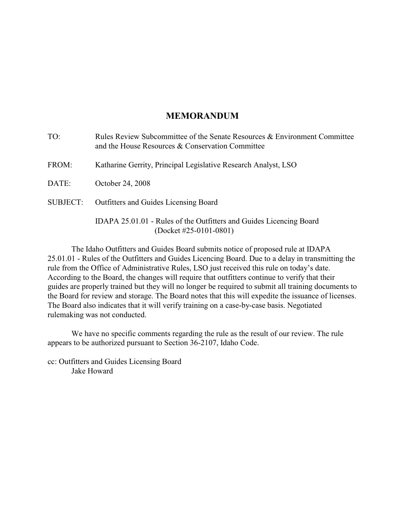## **MEMORANDUM**

| Rules Review Subcommittee of the Senate Resources & Environment Committee<br>and the House Resources & Conservation Committee |
|-------------------------------------------------------------------------------------------------------------------------------|
| Katharine Gerrity, Principal Legislative Research Analyst, LSO                                                                |
| October 24, 2008                                                                                                              |
| Outfitters and Guides Licensing Board                                                                                         |
| IDAPA 25.01.01 - Rules of the Outfitters and Guides Licencing Board<br>$(Docket #25-0101-0801)$                               |
|                                                                                                                               |

The Idaho Outfitters and Guides Board submits notice of proposed rule at IDAPA 25.01.01 - Rules of the Outfitters and Guides Licencing Board. Due to a delay in transmitting the rule from the Office of Administrative Rules, LSO just received this rule on today's date. According to the Board, the changes will require that outfitters continue to verify that their guides are properly trained but they will no longer be required to submit all training documents to the Board for review and storage. The Board notes that this will expedite the issuance of licenses. The Board also indicates that it will verify training on a case-by-case basis. Negotiated rulemaking was not conducted.

We have no specific comments regarding the rule as the result of our review. The rule appears to be authorized pursuant to Section 36-2107, Idaho Code.

cc: Outfitters and Guides Licensing Board Jake Howard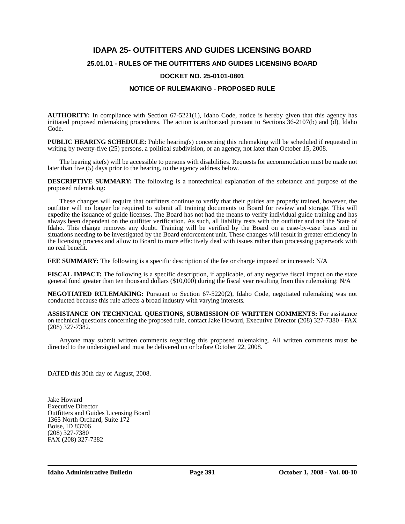# **IDAPA 25- OUTFITTERS AND GUIDES LICENSING BOARD 25.01.01 - RULES OF THE OUTFITTERS AND GUIDES LICENSING BOARD DOCKET NO. 25-0101-0801**

#### **NOTICE OF RULEMAKING - PROPOSED RULE**

**AUTHORITY:** In compliance with Section 67-5221(1), Idaho Code, notice is hereby given that this agency has initiated proposed rulemaking procedures. The action is authorized pursuant to Sections 36-2107(b) and (d), Idaho Code.

**PUBLIC HEARING SCHEDULE:** Public hearing(s) concerning this rulemaking will be scheduled if requested in writing by twenty-five (25) persons, a political subdivision, or an agency, not later than October 15, 2008.

The hearing site(s) will be accessible to persons with disabilities. Requests for accommodation must be made not later than five (5) days prior to the hearing, to the agency address below.

**DESCRIPTIVE SUMMARY:** The following is a nontechnical explanation of the substance and purpose of the proposed rulemaking:

These changes will require that outfitters continue to verify that their guides are properly trained, however, the outfitter will no longer be required to submit all training documents to Board for review and storage. This will expedite the issuance of guide licenses. The Board has not had the means to verify individual guide training and has always been dependent on the outfitter verification. As such, all liability rests with the outfitter and not the State of Idaho. This change removes any doubt. Training will be verified by the Board on a case-by-case basis and in situations needing to be investigated by the Board enforcement unit. These changes will result in greater efficiency in the licensing process and allow to Board to more effectively deal with issues rather than processing paperwork with no real benefit.

**FEE SUMMARY:** The following is a specific description of the fee or charge imposed or increased: N/A

**FISCAL IMPACT:** The following is a specific description, if applicable, of any negative fiscal impact on the state general fund greater than ten thousand dollars (\$10,000) during the fiscal year resulting from this rulemaking: N/A

**NEGOTIATED RULEMAKING:** Pursuant to Section 67-5220(2), Idaho Code, negotiated rulemaking was not conducted because this rule affects a broad industry with varying interests*.*

**ASSISTANCE ON TECHNICAL QUESTIONS, SUBMISSION OF WRITTEN COMMENTS:** For assistance on technical questions concerning the proposed rule, contact Jake Howard, Executive Director (208) 327-7380 - FAX (208) 327-7382.

Anyone may submit written comments regarding this proposed rulemaking. All written comments must be directed to the undersigned and must be delivered on or before October 22, 2008.

DATED this 30th day of August, 2008.

Jake Howard Executive Director Outfitters and Guides Licensing Board 1365 North Orchard, Suite 172 Boise, ID 83706 (208) 327-7380 FAX (208) 327-7382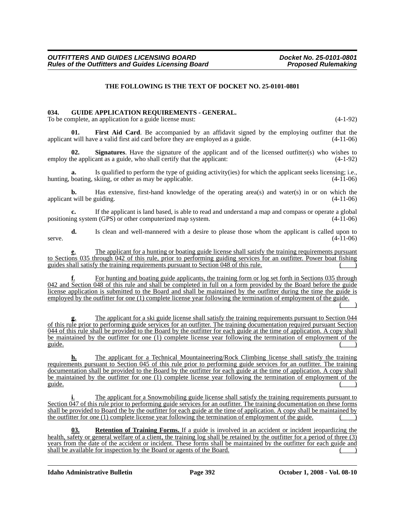#### **THE FOLLOWING IS THE TEXT OF DOCKET NO. 25-0101-0801**

#### **034. GUIDE APPLICATION REQUIREMENTS - GENERAL.**

To be complete, an application for a guide license must: (4-1-92)

First Aid Card. Be accompanied by an affidavit signed by the employing outfitter that the applicant will have a valid first aid card before they are employed as a guide. (4-11-06)

**02.** Signatures. Have the signature of the applicant and of the licensed outfitter(s) who wishes to he applicant as a guide, who shall certify that the applicant: (4-1-92) employ the applicant as a guide, who shall certify that the applicant:

Is qualified to perform the type of guiding activity(ies) for which the applicant seeks licensing; i.e., skiing, or other as may be applicable.  $(4-11-06)$ hunting, boating, skiing, or other as may be applicable.

**b.** Has extensive, first-hand knowledge of the operating area(s) and water(s) in or on which the applicant will be guiding. (4-11-06)

**c.** If the applicant is land based, is able to read and understand a map and compass or operate a global ng system (GPS) or other computerized map system.  $(4-11-06)$ positioning system  $(GPS)$  or other computerized map system.

**d.** Is clean and well-mannered with a desire to please those whom the applicant is called upon to serve.  $(4-11-06)$ 

**e.** The applicant for a hunting or boating guide license shall satisfy the training requirements pursuant to Sections 035 through 042 of this rule, prior to performing guiding services for an outfitter. Power boat fishing guides shall satisfy the training requirements pursuant to Section 048 of this rule. ( )

For hunting and boating guide applicants, the training form or log set forth in Sections 035 through 042 and Section 048 of this rule and shall be completed in full on a form provided by the Board before the guide license application is submitted to the Board and shall be maintained by the outfitter during the time the guide is employed by the outfitter for one (1) complete license year following the termination of employment of the guide.

 $($  )

The applicant for a ski guide license shall satisfy the training requirements pursuant to Section 044 of this rule prior to performing guide services for an outfitter. The training documentation required pursuant Section 044 of this rule shall be provided to the Board by the outfitter for each guide at the time of application. A copy shall be maintained by the outfitter for one (1) complete license year following the termination of employment of the guide. ( )

**h.** The applicant for a Technical Mountaineering/Rock Climbing license shall satisfy the training requirements pursuant to Section 045 of this rule prior to performing guide services for an outfitter. The training documentation shall be provided to the Board by the outfitter for each guide at the time of application. A copy shall be maintained by the outfitter for one (1) complete license year following the termination of employment of the guide. ( )

The applicant for a Snowmobiling guide license shall satisfy the training requirements pursuant to Section 047 of this rule prior to performing guide services for an outfitter. The training documentation on these forms shall be provided to Board the by the outfitter for each guide at the time of application. A copy shall be maintained by the outfitter for one (1) complete license year following the termination of employment of the guide. ( )

**03. Retention of Training Forms.** If a guide is involved in an accident or incident jeopardizing the health, safety or general welfare of a client, the training log shall be retained by the outfitter for a period of three (3) years from the date of the accident or incident. These forms shall be maintained by the outfitter for each guide and shall be available for inspection by the Board or agents of the Board.

**Idaho Administrative Bulletin Page 392 October 1, 2008 - Vol. 08-10**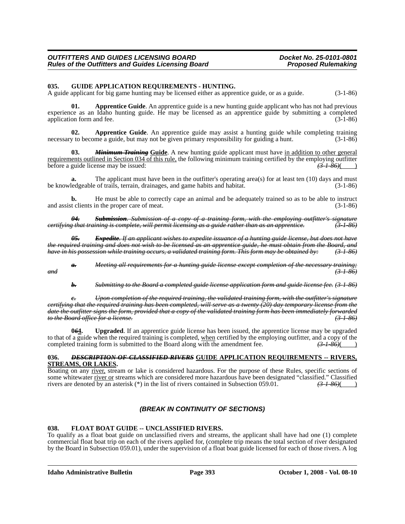#### **035. GUIDE APPLICATION REQUIREMENTS - HUNTING.**

A guide applicant for big game hunting may be licensed either as apprentice guide, or as a guide. (3-1-86)

**01. Apprentice Guide**. An apprentice guide is a new hunting guide applicant who has not had previous experience as an Idaho hunting guide. He may be licensed as an apprentice guide by submitting a completed application form and fee.

**02. Apprentice Guide**. An apprentice guide may assist a hunting guide while completing training necessary to become a guide, but may not be given primary responsibility for guiding a hunt. (3-1-86)

**Minimum Training Guide**. A new hunting guide applicant must have in addition to other general requirements outlined in Section 034 of this rule, the following minimum training certified by the employing outfitter before a guide license may be issued: *(3-1-86)*( )

The applicant must have been in the outfitter's operating area(s) for at least ten (10) days and must of trails, terrain, drainages, and game habits and habitat. (3-1-86) be knowledgeable of trails, terrain, drainages, and game habits and habitat.

**b.** He must be able to correctly cape an animal and be adequately trained so as to be able to instruct and assist clients in the proper care of meat. (3-1-86)

*04. Submission. Submission of a copy of a training form, with the employing outfitter's signature certifying that training is complete, will permit licensing as a guide rather than as an apprentice. (3-1-86)*

*05. Expedite. If an applicant wishes to expedite issuance of a hunting guide license, but does not have the required training and does not wish to be licensed as an apprentice guide, he must obtain from the Board, and have in his possession while training occurs, a validated training form. This form may be obtained by: (3-1-86)*

*Meeting all requirements for a hunting guide license except completion of the necessary training; and (3-1-86)*

*b. Submitting to the Board a completed guide license application form and guide license fee. (3-1-86)*

*c. Upon completion of the required training, the validated training form, with the outfitter's signature certifying that the required training has been completed, will serve as a twenty (20) day temporary license from the date the outfitter signs the form, provided that a copy of the validated training form has been immediately forwarded to the Board office for a license. (3-1-86)*

**0***6***4. Upgraded**. If an apprentice guide license has been issued, the apprentice license may be upgraded to that of a guide when the required training is completed, when certified by the employing outfitter, and a copy of the completed training form is submitted to the Board along with the amendment fee.  $(3-1-86)($ 

# **036.** *DESCRIPTION OF CLASSIFIED RIVERS* **GUIDE APPLICATION REQUIREMENTS -- RIVERS,**

Boating on any river, stream or lake is considered hazardous. For the purpose of these Rules, specific sections of some whitewater <u>river or</u> streams which are considered more hazardous have been designated "classified." Classified rivers are denoted by an asterisk (\*) in the list of rivers contained in Subsection 059.01.  $\left(3 + 86\right)$ rivers are denoted by an asterisk (\*) in the list of rivers contained in Subsection 059.01. *(3-1-86)*( )

### *(BREAK IN CONTINUITY OF SECTIONS)*

#### **038. FLOAT BOAT GUIDE -- UNCLASSIFIED RIVERS.**

To qualify as a float boat guide on unclassified rivers and streams, the applicant shall have had one (1) complete commercial float boat trip on each of the rivers applied for, (complete trip means the total section of river designated by the Board in Subsection 059.01), under the supervision of a float boat guide licensed for each of those rivers. A log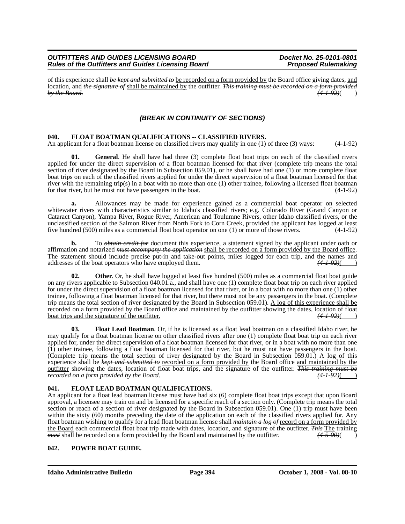#### *OUTFITTERS AND GUIDES LICENSING BOARD*<br>Rules of the Outfitters and Guides Licensing Board **Development Proposed Rulemaking** *Rules of the Outfitters and Guides Licensing Board*

of this experience shall *be kept and submitted to* be recorded on a form provided by the Board office giving dates, and location, and *the signature of* shall be maintained by the outfitter. *This training must be recorded on a form provided by the Board. (4-1-92)*( )

### *(BREAK IN CONTINUITY OF SECTIONS)*

#### **040. FLOAT BOATMAN QUALIFICATIONS -- CLASSIFIED RIVERS.**

An applicant for a float boatman license on classified rivers may qualify in one (1) of three (3) ways: (4-1-92)

**01. General**. He shall have had three (3) complete float boat trips on each of the classified rivers applied for under the direct supervision of a float boatman licensed for that river (complete trip means the total section of river designated by the Board in Subsection 059.01), or he shall have had one (1) or more complete float boat trips on each of the classified rivers applied for under the direct supervision of a float boatman licensed for that river with the remaining trip(s) in a boat with no more than one (1) other trainee, following a licensed float boatman for that river, but he must not have passengers in the boat. (4-1-92)

**a.** Allowances may be made for experience gained as a commercial boat operator on selected whitewater rivers with characteristics similar to Idaho's classified rivers; e.g. Colorado River (Grand Canyon or Cataract Canyon), Yampa River, Rogue River, American and Toulumne Rivers, other Idaho classified rivers, or the unclassified section of the Salmon River from North Fork to Corn Creek, provided the applicant has logged at least five hundred (500) miles as a commercial float boat operator on one (1) or more of those rivers. (4-1-92)

**b.** To *obtain credit for* <u>document</u> this experience, a statement signed by the applicant under oath or affirmation and notarized *must accompany the application* shall be recorded on a form provided by the Board office. The statement should include precise put-in and take-out points, miles logged for each trip, and the names and addresses of the boat operators who have employed them.  $(4.192)()$ addresses of the boat operators who have employed them.

**02.** Other. Or, he shall have logged at least five hundred (500) miles as a commercial float boat guide on any rivers applicable to Subsection 040.01.a., and shall have one (1) complete float boat trip on each river applied for under the direct supervision of a float boatman licensed for that river, or in a boat with no more than one (1) other trainee, following a float boatman licensed for that river, but there must not be any passengers in the boat. (Complete trip means the total section of river designated by the Board in Subsection 059.01). A log of this experience shall be recorded on a form provided by the Board office and maintained by the outfitter showing the dates, location of float boat trips and the signature of the outfitter. boat trips and the signature of the outfitter.

**03. Float Lead Boatman**. Or, if he is licensed as a float lead boatman on a classified Idaho river, he may qualify for a float boatman license on other classified rivers after one (1) complete float boat trip on each river applied for, under the direct supervision of a float boatman licensed for that river, or in a boat with no more than one (1) other trainee, following a float boatman licensed for that river, but he must not have passengers in the boat. (Complete trip means the total section of river designated by the Board in Subsection 059.01.) A log of this experience shall be *kept and submitted to* recorded on a form provided by the Board office and maintained by the outfitter showing the dates, location of float boat trips, and the signature of the outfitter. *This training must be recorded on a form provided by the Board.* 

#### **041. FLOAT LEAD BOATMAN QUALIFICATIONS.**

An applicant for a float lead boatman license must have had six (6) complete float boat trips except that upon Board approval, a licensee may train on and be licensed for a specific reach of a section only. (Complete trip means the total section or reach of a section of river designated by the Board in Subsection 059.01). One (1) trip must have been within the sixty (60) months preceding the date of the application on each of the classified rivers applied for. Any float boatman wishing to qualify for a lead float boatman license shall *maintain a log of* record on a form provided by the Board each commercial float boat trip made with dates, location, and signature of the outfitter. *This* The training *must* shall be recorded on a form provided by the Board and maintained by the outfitter. *(4-5-00)*( )

#### **042. POWER BOAT GUIDE.**

**Idaho Administrative Bulletin Page 394 October 1, 2008 - Vol. 08-10**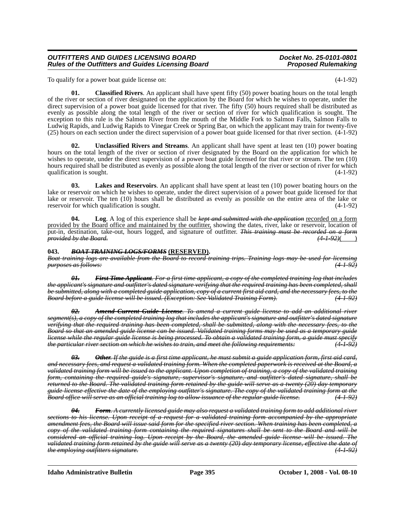#### *OUTFITTERS AND GUIDES LICENSING BOARD*<br>Rules of the Outfitters and Guides Licensing Board **Docket Medicing** Proposed Rulemaking **Rules of the Outfitters and Guides Licensing Board**

To qualify for a power boat guide license on: (4-1-92)

**01. Classified Rivers**. An applicant shall have spent fifty (50) power boating hours on the total length of the river or section of river designated on the application by the Board for which he wishes to operate, under the direct supervision of a power boat guide licensed for that river. The fifty (50) hours required shall be distributed as evenly as possible along the total length of the river or section of river for which qualification is sought. The exception to this rule is the Salmon River from the mouth of the Middle Fork to Salmon Falls, Salmon Falls to Ludwig Rapids, and Ludwig Rapids to Vinegar Creek or Spring Bar, on which the applicant may train for twenty-five (25) hours on each section under the direct supervision of a power boat guide licensed for that river section. (4-1-92)

**02. Unclassified Rivers and Streams**. An applicant shall have spent at least ten (10) power boating hours on the total length of the river or section of river designated by the Board on the application for which he wishes to operate, under the direct supervision of a power boat guide licensed for that river or stream. The ten (10) hours required shall be distributed as evenly as possible along the total length of the river or section of river for which qualification is sought.  $(4-1-92)$ 

**03. Lakes and Reservoirs**. An applicant shall have spent at least ten (10) power boating hours on the lake or reservoir on which he wishes to operate, under the direct supervision of a power boat guide licensed for that lake or reservoir. The ten (10) hours shall be distributed as evenly as possible on the entire area of the lake or reservoir for which qualification is sought. (4-1-92)

**04. Log**. A log of this experience shall be *kept and submitted with the application* recorded on a form provided by the Board office and maintained by the outfitter, showing the dates, river, lake or reservoir, location of put-in, destination, take-out, hours logged, and signature of outfitter. *This training must be recorded on a form provided by the Board.* 

#### **043.** *BOAT TRAINING LOGS/FORMS* **(RESERVED).**

*Boat training logs are available from the Board to record training trips. Training logs may be used for licensing purposes as follows: (4-1-92)*

*01. First Time Applicant. For a first time applicant, a copy of the completed training log that includes the applicant's signature and outfitter's dated signature verifying that the required training has been completed, shall be submitted, along with a completed guide application, copy of a current first aid card, and the necessary fees, to the Board before a guide license will be issued. (Exception: See Validated Training Form). (4-1-92)*

*02. Amend Current Guide License. To amend a current guide license to add an additional river segment(s), a copy of the completed training log that includes the applicant's signature and outfitter's dated signature verifying that the required training has been completed, shall be submitted, along with the necessary fees, to the Board so that an amended guide license can be issued. Validated training forms may be used as a temporary guide license while the regular guide license is being processed. To obtain a validated training form, a guide must specify the particular river section on which he wishes to train, and meet the following requirements: (4-1-92)*

*03. Other. If the guide is a first time applicant, he must submit a guide application form, first aid card, and necessary fees, and request a validated training form. When the completed paperwork is received at the Board, a validated training form will be issued to the applicant. Upon completion of training, a copy of the validated training form, containing the required guide's signature, supervisor's signature, and outfitter's dated signature, shall be returned to the Board. The validated training form retained by the guide will serve as a twenty (20) day temporary guide license effective the date of the employing outfitter's signature. The copy of the validated training form at the Board office will serve as an official training log to allow issuance of the regular guide license. (4-1-92)*

*04. Form. A currently licensed guide may also request a validated training form to add additional river sections to his license. Upon receipt of a request for a validated training form accompanied by the appropriate amendment fees, the Board will issue said form for the specified river section. When training has been completed, a copy of the validated training form containing the required signatures shall be sent to the Board and will be considered an official training log. Upon receipt by the Board, the amended guide license will be issued. The validated training form retained by the guide will serve as a twenty (20) day temporary license, effective the date of the employing outfitters signature. (4-1-92)*

**Idaho Administrative Bulletin Page 395 October 1, 2008 - Vol. 08-10**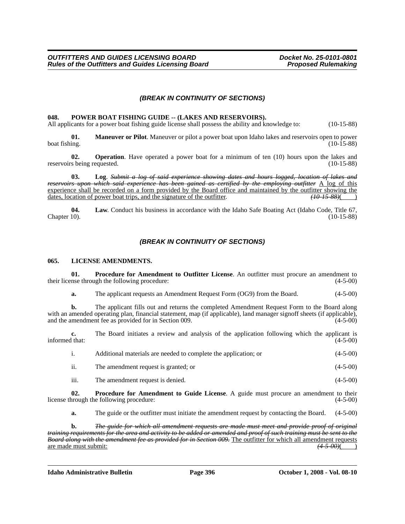#### *(BREAK IN CONTINUITY OF SECTIONS)*

#### 048. POWER BOAT FISHING GUIDE -- (LAKES AND RESERVOIRS).

All applicants for a power boat fishing guide license shall possess the ability and knowledge to: (10-15-88)

**01. Maneuver or Pilot**. Maneuver or pilot a power boat upon Idaho lakes and reservoirs open to power boat fishing. (10-15-88) boat fishing. (10-15-88) (10-15-88)

**02. Operation**. Have operated a power boat for a minimum of ten (10) hours upon the lakes and reservoirs being requested. (10-15-88)

**03. Log**. *Submit a log of said experience showing dates and hours logged, location of lakes and reservoirs upon which said experience has been gained as certified by the employing outfitter* A log of this experience shall be recorded on a form provided by the Board office and maintained by the outfitter showing the dates, location of power boat trips, and the signature of the outfitter.  $\frac{(10-15-88)}{(10-15-88)}$ dates, location of power boat trips, and the signature of the outfitter.

**04.** Law. Conduct his business in accordance with the Idaho Safe Boating Act (Idaho Code, Title 67, Chapter 10). (10-15-88) Chapter 10). (10-15-88)

#### *(BREAK IN CONTINUITY OF SECTIONS)*

#### **065. LICENSE AMENDMENTS.**

**01.** Procedure for Amendment to Outfitter License. An outfitter must procure an amendment to their license through the following procedure: (4-5-00)

**a.** The applicant requests an Amendment Request Form (OG9) from the Board. (4-5-00)

**b.** The applicant fills out and returns the completed Amendment Request Form to the Board along with an amended operating plan, financial statement, map (if applicable), land manager signoff sheets (if applicable), and the amendment fee as provided for in Section 009. (4-5-00)

**c.** The Board initiates a review and analysis of the application following which the applicant is informed that:  $(4-5-00)$ 

|     | Additional materials are needed to complete the application; or | $(4-5-00)$ |
|-----|-----------------------------------------------------------------|------------|
| ii. | The amendment request is granted; or                            | $(4-5-00)$ |

iii. The amendment request is denied. (4-5-00)

**02. Procedure for Amendment to Guide License**. A guide must procure an amendment to their hrough the following procedure: (4-5-00) license through the following procedure:

**a.** The guide or the outfitter must initiate the amendment request by contacting the Board. (4-5-00)

**b.** *The guide for which all amendment requests are made must meet and provide proof of original training requirements for the area and activity to be added or amended and proof of such training must be sent to the Board along with the amendment fee as provided for in Section 009.* The outfitter for which all amendment requests are made must submit: *(4-5-00)*( )